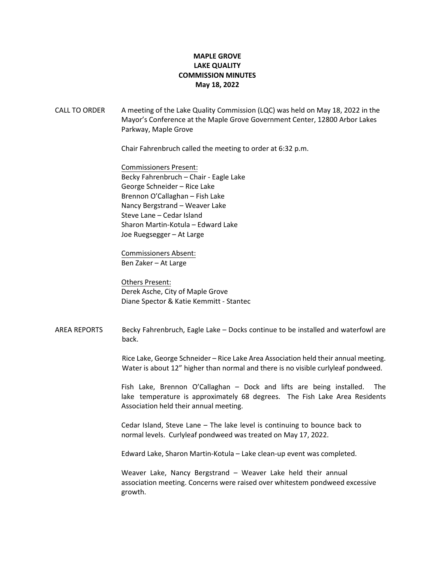## **MAPLE GROVE LAKE QUALITY COMMISSION MINUTES May 18, 2022**

CALL TO ORDER A meeting of the Lake Quality Commission (LQC) was held on May 18, 2022 in the Mayor's Conference at the Maple Grove Government Center, 12800 Arbor Lakes Parkway, Maple Grove

Chair Fahrenbruch called the meeting to order at 6:32 p.m.

Commissioners Present: Becky Fahrenbruch – Chair - Eagle Lake George Schneider – Rice Lake Brennon O'Callaghan – Fish Lake Nancy Bergstrand – Weaver Lake Steve Lane – Cedar Island Sharon Martin-Kotula – Edward Lake Joe Ruegsegger – At Large

Commissioners Absent: Ben Zaker – At Large

Others Present: Derek Asche, City of Maple Grove Diane Spector & Katie Kemmitt - Stantec

AREA REPORTS Becky Fahrenbruch, Eagle Lake – Docks continue to be installed and waterfowl are back.

> Rice Lake, George Schneider – Rice Lake Area Association held their annual meeting. Water is about 12" higher than normal and there is no visible curlyleaf pondweed.

> Fish Lake, Brennon O'Callaghan – Dock and lifts are being installed. The lake temperature is approximately 68 degrees. The Fish Lake Area Residents Association held their annual meeting.

Cedar Island, Steve Lane – The lake level is continuing to bounce back to normal levels. Curlyleaf pondweed was treated on May 17, 2022.

Edward Lake, Sharon Martin-Kotula – Lake clean-up event was completed.

Weaver Lake, Nancy Bergstrand – Weaver Lake held their annual association meeting. Concerns were raised over whitestem pondweed excessive growth.